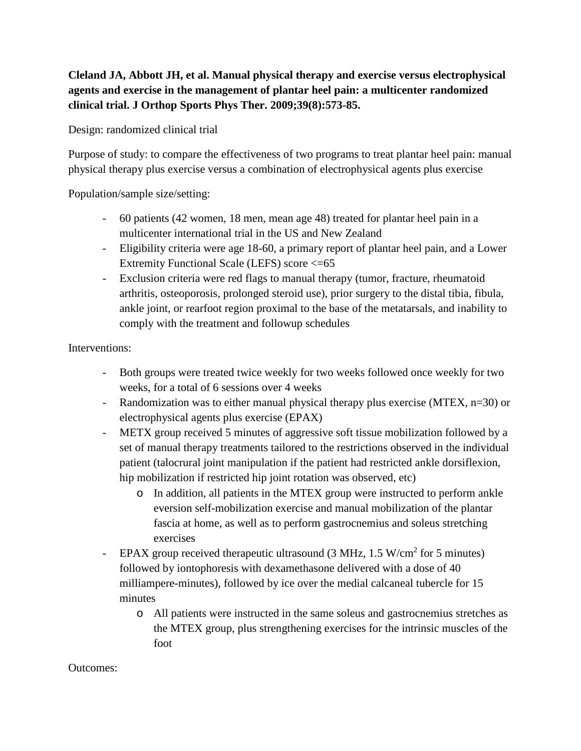## **Cleland JA, Abbott JH, et al. Manual physical therapy and exercise versus electrophysical agents and exercise in the management of plantar heel pain: a multicenter randomized clinical trial. J Orthop Sports Phys Ther. 2009;39(8):573-85.**

Design: randomized clinical trial

Purpose of study: to compare the effectiveness of two programs to treat plantar heel pain: manual physical therapy plus exercise versus a combination of electrophysical agents plus exercise

Population/sample size/setting:

- 60 patients (42 women, 18 men, mean age 48) treated for plantar heel pain in a multicenter international trial in the US and New Zealand
- Eligibility criteria were age 18-60, a primary report of plantar heel pain, and a Lower Extremity Functional Scale (LEFS) score <=65
- Exclusion criteria were red flags to manual therapy (tumor, fracture, rheumatoid arthritis, osteoporosis, prolonged steroid use), prior surgery to the distal tibia, fibula, ankle joint, or rearfoot region proximal to the base of the metatarsals, and inability to comply with the treatment and followup schedules

Interventions:

- Both groups were treated twice weekly for two weeks followed once weekly for two weeks, for a total of 6 sessions over 4 weeks
- Randomization was to either manual physical therapy plus exercise (MTEX, n=30) or electrophysical agents plus exercise (EPAX)
- METX group received 5 minutes of aggressive soft tissue mobilization followed by a set of manual therapy treatments tailored to the restrictions observed in the individual patient (talocrural joint manipulation if the patient had restricted ankle dorsiflexion, hip mobilization if restricted hip joint rotation was observed, etc)
	- o In addition, all patients in the MTEX group were instructed to perform ankle eversion self-mobilization exercise and manual mobilization of the plantar fascia at home, as well as to perform gastrocnemius and soleus stretching exercises
- EPAX group received therapeutic ultrasound  $(3 \text{ MHz}, 1.5 \text{ W/cm}^2 \text{ for } 5 \text{ minutes})$ followed by iontophoresis with dexamethasone delivered with a dose of 40 milliampere-minutes), followed by ice over the medial calcaneal tubercle for 15 minutes
	- o All patients were instructed in the same soleus and gastrocnemius stretches as the MTEX group, plus strengthening exercises for the intrinsic muscles of the foot

Outcomes: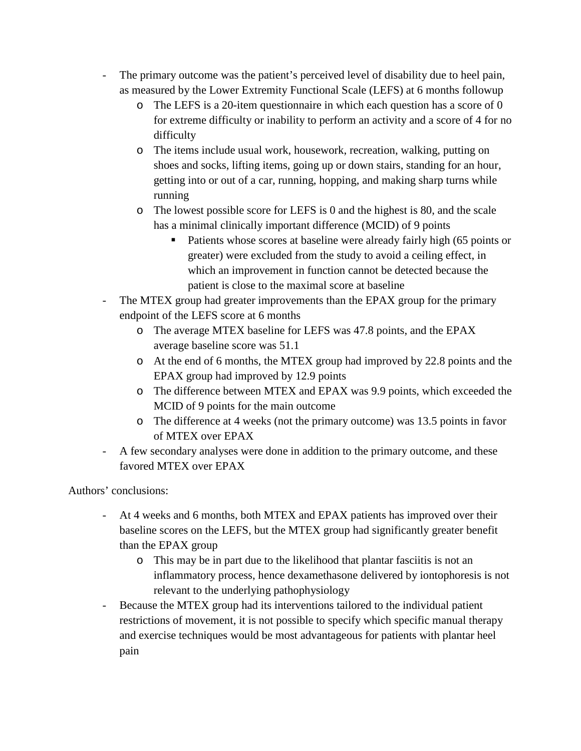- The primary outcome was the patient's perceived level of disability due to heel pain, as measured by the Lower Extremity Functional Scale (LEFS) at 6 months followup
	- o The LEFS is a 20-item questionnaire in which each question has a score of 0 for extreme difficulty or inability to perform an activity and a score of 4 for no difficulty
	- o The items include usual work, housework, recreation, walking, putting on shoes and socks, lifting items, going up or down stairs, standing for an hour, getting into or out of a car, running, hopping, and making sharp turns while running
	- o The lowest possible score for LEFS is 0 and the highest is 80, and the scale has a minimal clinically important difference (MCID) of 9 points
		- Patients whose scores at baseline were already fairly high (65 points or greater) were excluded from the study to avoid a ceiling effect, in which an improvement in function cannot be detected because the patient is close to the maximal score at baseline
- The MTEX group had greater improvements than the EPAX group for the primary endpoint of the LEFS score at 6 months
	- o The average MTEX baseline for LEFS was 47.8 points, and the EPAX average baseline score was 51.1
	- o At the end of 6 months, the MTEX group had improved by 22.8 points and the EPAX group had improved by 12.9 points
	- o The difference between MTEX and EPAX was 9.9 points, which exceeded the MCID of 9 points for the main outcome
	- o The difference at 4 weeks (not the primary outcome) was 13.5 points in favor of MTEX over EPAX
- A few secondary analyses were done in addition to the primary outcome, and these favored MTEX over EPAX

Authors' conclusions:

- At 4 weeks and 6 months, both MTEX and EPAX patients has improved over their baseline scores on the LEFS, but the MTEX group had significantly greater benefit than the EPAX group
	- o This may be in part due to the likelihood that plantar fasciitis is not an inflammatory process, hence dexamethasone delivered by iontophoresis is not relevant to the underlying pathophysiology
- Because the MTEX group had its interventions tailored to the individual patient restrictions of movement, it is not possible to specify which specific manual therapy and exercise techniques would be most advantageous for patients with plantar heel pain